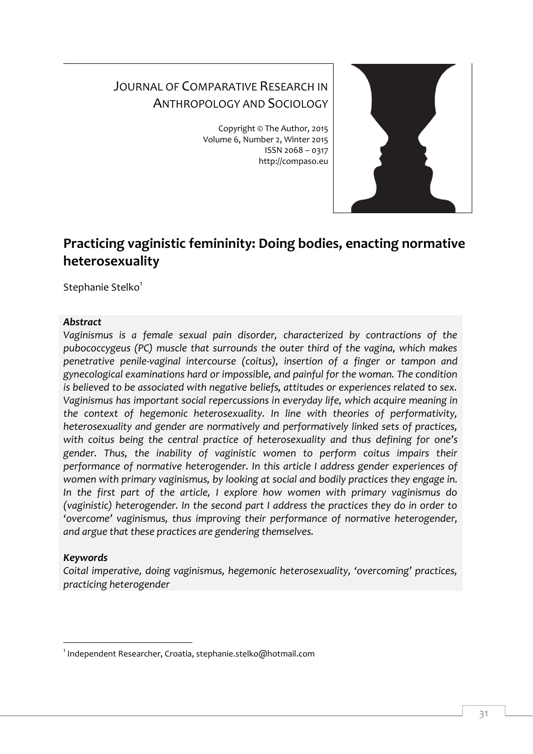# JOURNAL OF COMPARATIVE RESEARCH IN ANTHROPOLOGY AND SOCIOLOGY

Copyright © The Author, 2015 Volume 6, Number 2, Winter 2015 ISSN 2068 – 0317 http://compaso.eu



# **Practicing vaginistic femininity: Doing bodies, enacting normative heterosexuality**

Stephanie Stelko<sup>1</sup>

### *Abstract*

*Vaginismus is a female sexual pain disorder, characterized by contractions of the pubococcygeus (PC) muscle that surrounds the outer third of the vagina, which makes penetrative penile-vaginal intercourse (coitus), insertion of a finger or tampon and gynecological examinations hard or impossible, and painful for the woman. The condition is believed to be associated with negative beliefs, attitudes or experiences related to sex. Vaginismus has important social repercussions in everyday life, which acquire meaning in the context of hegemonic heterosexuality. In line with theories of performativity, heterosexuality and gender are normatively and performatively linked sets of practices, with coitus being the central practice of heterosexuality and thus defining for one's gender. Thus, the inability of vaginistic women to perform coitus impairs their performance of normative heterogender. In this article I address gender experiences of women with primary vaginismus, by looking at social and bodily practices they engage in. In the first part of the article, I explore how women with primary vaginismus do (vaginistic) heterogender. In the second part I address the practices they do in order to 'overcome' vaginismus, thus improving their performance of normative heterogender, and argue that these practices are gendering themselves.*

# *Keywords*

-

*Coital imperative, doing vaginismus, hegemonic heterosexuality, 'overcoming' practices, practicing heterogender*

<sup>1</sup> Independent Researcher, Croatia, stephanie.stelko@hotmail.com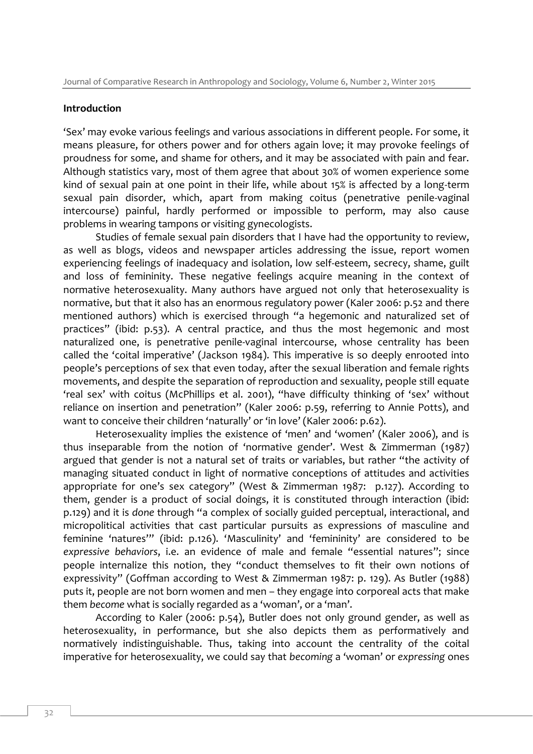#### **Introduction**

'Sex' may evoke various feelings and various associations in different people. For some, it means pleasure, for others power and for others again love; it may provoke feelings of proudness for some, and shame for others, and it may be associated with pain and fear. Although statistics vary, most of them agree that about 30% of women experience some kind of sexual pain at one point in their life, while about 15% is affected by a long-term sexual pain disorder, which, apart from making coitus (penetrative penile-vaginal intercourse) painful, hardly performed or impossible to perform, may also cause problems in wearing tampons or visiting gynecologists.

Studies of female sexual pain disorders that I have had the opportunity to review, as well as blogs, videos and newspaper articles addressing the issue, report women experiencing feelings of inadequacy and isolation, low self-esteem, secrecy, shame, guilt and loss of femininity. These negative feelings acquire meaning in the context of normative heterosexuality. Many authors have argued not only that heterosexuality is normative, but that it also has an enormous regulatory power (Kaler 2006: p.52 and there mentioned authors) which is exercised through "a hegemonic and naturalized set of practices" (ibid: p.53). A central practice, and thus the most hegemonic and most naturalized one, is penetrative penile-vaginal intercourse, whose centrality has been called the 'coital imperative' (Jackson 1984). This imperative is so deeply enrooted into people's perceptions of sex that even today, after the sexual liberation and female rights movements, and despite the separation of reproduction and sexuality, people still equate 'real sex' with coitus (McPhillips et al. 2001), "have difficulty thinking of 'sex' without reliance on insertion and penetration" (Kaler 2006: p.59, referring to Annie Potts), and want to conceive their children 'naturally' or 'in love' (Kaler 2006: p.62).

Heterosexuality implies the existence of 'men' and 'women' (Kaler 2006), and is thus inseparable from the notion of 'normative gender'. West & Zimmerman (1987) argued that gender is not a natural set of traits or variables, but rather "the activity of managing situated conduct in light of normative conceptions of attitudes and activities appropriate for one's sex category" (West & Zimmerman 1987: p.127). According to them, gender is a product of social doings, it is constituted through interaction (ibid: p.129) and it is *done* through "a complex of socially guided perceptual, interactional, and micropolitical activities that cast particular pursuits as expressions of masculine and feminine 'natures'" (ibid: p.126). 'Masculinity' and 'femininity' are considered to be *expressive behaviors*, i.e. an evidence of male and female "essential natures"; since people internalize this notion, they "conduct themselves to fit their own notions of expressivity" (Goffman according to West & Zimmerman 1987: p. 129). As Butler (1988) puts it, people are not born women and men – they engage into corporeal acts that make them *become* what is socially regarded as a 'woman', or a 'man'.

According to Kaler (2006: p.54), Butler does not only ground gender, as well as heterosexuality, in performance, but she also depicts them as performatively and normatively indistinguishable. Thus, taking into account the centrality of the coital imperative for heterosexuality, we could say that *becoming* a 'woman' or *expressing* ones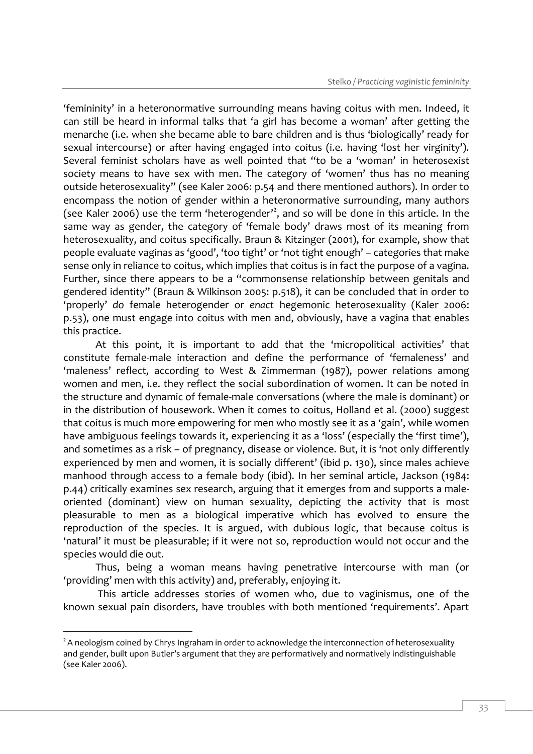'femininity' in a heteronormative surrounding means having coitus with men. Indeed, it can still be heard in informal talks that 'a girl has become a woman' after getting the menarche (i.e. when she became able to bare children and is thus 'biologically' ready for sexual intercourse) or after having engaged into coitus (i.e. having 'lost her virginity'). Several feminist scholars have as well pointed that "to be a 'woman' in heterosexist society means to have sex with men. The category of 'women' thus has no meaning outside heterosexuality" (see Kaler 2006: p.54 and there mentioned authors). In order to encompass the notion of gender within a heteronormative surrounding, many authors (see Kaler 2006) use the term 'heterogender'<sup>2</sup>, and so will be done in this article. In the same way as gender, the category of 'female body' draws most of its meaning from heterosexuality, and coitus specifically. Braun & Kitzinger (2001), for example, show that people evaluate vaginas as 'good', 'too tight' or 'not tight enough' – categories that make sense only in reliance to coitus, which implies that coitus is in fact the purpose of a vagina. Further, since there appears to be a "commonsense relationship between genitals and gendered identity" (Braun & Wilkinson 2005: p.518), it can be concluded that in order to 'properly' *do* female heterogender or *enact* hegemonic heterosexuality (Kaler 2006: p.53), one must engage into coitus with men and, obviously, have a vagina that enables this practice.

At this point, it is important to add that the 'micropolitical activities' that constitute female-male interaction and define the performance of 'femaleness' and 'maleness' reflect, according to West & Zimmerman (1987), power relations among women and men, i.e. they reflect the social subordination of women. It can be noted in the structure and dynamic of female-male conversations (where the male is dominant) or in the distribution of housework. When it comes to coitus, Holland et al. (2000) suggest that coitus is much more empowering for men who mostly see it as a 'gain', while women have ambiguous feelings towards it, experiencing it as a 'loss' (especially the 'first time'), and sometimes as a risk – of pregnancy, disease or violence. But, it is 'not only differently experienced by men and women, it is socially different' (ibid p. 130), since males achieve manhood through access to a female body (ibid). In her seminal article, Jackson (1984: p.44) critically examines sex research, arguing that it emerges from and supports a maleoriented (dominant) view on human sexuality, depicting the activity that is most pleasurable to men as a biological imperative which has evolved to ensure the reproduction of the species. It is argued, with dubious logic, that because coitus is 'natural' it must be pleasurable; if it were not so, reproduction would not occur and the species would die out.

Thus, being a woman means having penetrative intercourse with man (or 'providing' men with this activity) and, preferably, enjoying it.

This article addresses stories of women who, due to vaginismus, one of the known sexual pain disorders, have troubles with both mentioned 'requirements'. Apart

 $2A$  neologism coined by Chrys Ingraham in order to acknowledge the interconnection of heterosexuality and gender, built upon Butler's argument that they are performatively and normatively indistinguishable (see Kaler 2006).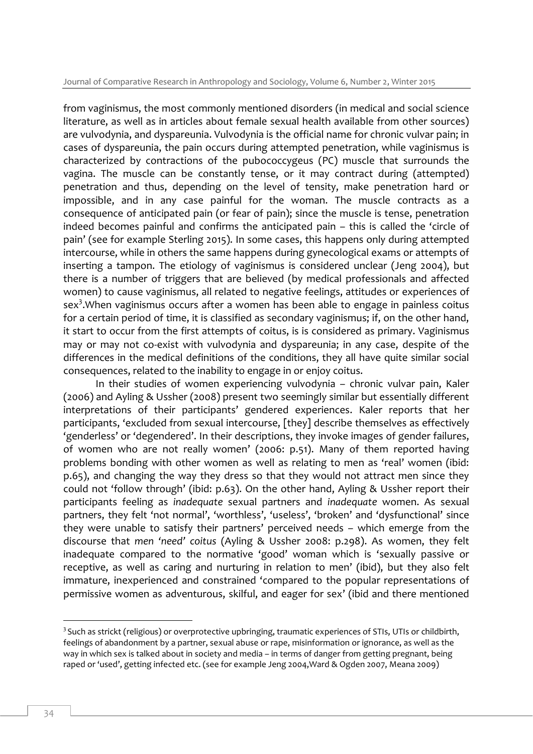from vaginismus, the most commonly mentioned disorders (in medical and social science literature, as well as in articles about female sexual health available from other sources) are vulvodynia, and dyspareunia. Vulvodynia is the official name for chronic vulvar pain; in cases of dyspareunia, the pain occurs during attempted penetration, while vaginismus is characterized by contractions of the pubococcygeus (PC) muscle that surrounds the vagina. The muscle can be constantly tense, or it may contract during (attempted) penetration and thus, depending on the level of tensity, make penetration hard or impossible, and in any case painful for the woman. The muscle contracts as a consequence of anticipated pain (or fear of pain); since the muscle is tense, penetration indeed becomes painful and confirms the anticipated pain – this is called the 'circle of pain' (see for example Sterling 2015). In some cases, this happens only during attempted intercourse, while in others the same happens during gynecological exams or attempts of inserting a tampon. The etiology of vaginismus is considered unclear (Jeng 2004), but there is a number of triggers that are believed (by medical professionals and affected women) to cause vaginismus, all related to negative feelings, attitudes or experiences of sex<sup>3</sup>. When vaginismus occurs after a women has been able to engage in painless coitus for a certain period of time, it is classified as secondary vaginismus; if, on the other hand, it start to occur from the first attempts of coitus, is is considered as primary. Vaginismus may or may not co-exist with vulvodynia and dyspareunia; in any case, despite of the differences in the medical definitions of the conditions, they all have quite similar social consequences, related to the inability to engage in or enjoy coitus.

In their studies of women experiencing vulvodynia – chronic vulvar pain, Kaler (2006) and Ayling & Ussher (2008) present two seemingly similar but essentially different interpretations of their participants' gendered experiences. Kaler reports that her participants, 'excluded from sexual intercourse, [they] describe themselves as effectively 'genderless' or 'degendered'. In their descriptions, they invoke images of gender failures, of women who are not really women' (2006: p.51). Many of them reported having problems bonding with other women as well as relating to men as 'real' women (ibid: p.65), and changing the way they dress so that they would not attract men since they could not 'follow through' (ibid: p.63). On the other hand, Ayling & Ussher report their participants feeling as *inadequate* sexual partners and *inadequate* women. As sexual partners, they felt 'not normal', 'worthless', 'useless', 'broken' and 'dysfunctional' since they were unable to satisfy their partners' perceived needs – which emerge from the discourse that *men 'need' coitus* (Ayling & Ussher 2008: p.298). As women, they felt inadequate compared to the normative 'good' woman which is 'sexually passive or receptive, as well as caring and nurturing in relation to men' (ibid), but they also felt immature, inexperienced and constrained 'compared to the popular representations of permissive women as adventurous, skilful, and eager for sex' (ibid and there mentioned

<sup>-</sup> $3$  Such as strickt (religious) or overprotective upbringing, traumatic experiences of STIs, UTIs or childbirth, feelings of abandonment by a partner, sexual abuse or rape, misinformation or ignorance, as well as the way in which sex is talked about in society and media – in terms of danger from getting pregnant, being raped or 'used', getting infected etc. (see for example Jeng 2004,Ward & Ogden 2007, Meana 2009)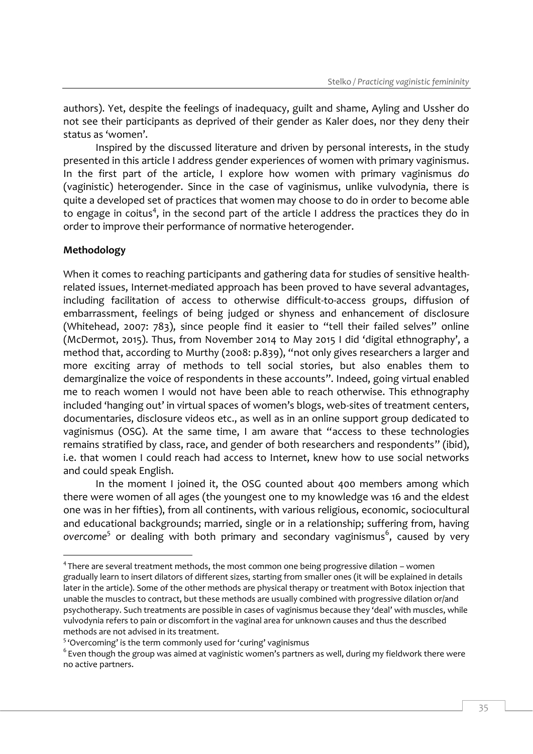authors). Yet, despite the feelings of inadequacy, guilt and shame, Ayling and Ussher do not see their participants as deprived of their gender as Kaler does, nor they deny their status as 'women'.

Inspired by the discussed literature and driven by personal interests, in the study presented in this article I address gender experiences of women with primary vaginismus. In the first part of the article, I explore how women with primary vaginismus *do* (vaginistic) heterogender. Since in the case of vaginismus, unlike vulvodynia, there is quite a developed set of practices that women may choose to do in order to become able to engage in coitus<sup>4</sup>, in the second part of the article I address the practices they do in order to improve their performance of normative heterogender.

# **Methodology**

-

When it comes to reaching participants and gathering data for studies of sensitive healthrelated issues, Internet-mediated approach has been proved to have several advantages, including facilitation of access to otherwise difficult-to-access groups, diffusion of embarrassment, feelings of being judged or shyness and enhancement of disclosure (Whitehead, 2007: 783), since people find it easier to "tell their failed selves" online (McDermot, 2015). Thus, from November 2014 to May 2015 I did 'digital ethnography', a method that, according to Murthy (2008: p.839), "not only gives researchers a larger and more exciting array of methods to tell social stories, but also enables them to demarginalize the voice of respondents in these accounts". Indeed, going virtual enabled me to reach women I would not have been able to reach otherwise. This ethnography included 'hanging out' in virtual spaces of women's blogs, web-sites of treatment centers, documentaries, disclosure videos etc., as well as in an online support group dedicated to vaginismus (OSG). At the same time, I am aware that "access to these technologies remains stratified by class, race, and gender of both researchers and respondents" (ibid), i.e. that women I could reach had access to Internet, knew how to use social networks and could speak English.

In the moment I joined it, the OSG counted about 400 members among which there were women of all ages (the youngest one to my knowledge was 16 and the eldest one was in her fifties), from all continents, with various religious, economic, sociocultural and educational backgrounds; married, single or in a relationship; suffering from, having overcome<sup>5</sup> or dealing with both primary and secondary vaginismus<sup>6</sup>, caused by very

<sup>&</sup>lt;sup>4</sup> There are several treatment methods, the most common one being progressive dilation – women gradually learn to insert dilators of different sizes, starting from smaller ones (it will be explained in details later in the article). Some of the other methods are physical therapy or treatment with Botox injection that unable the muscles to contract, but these methods are usually combined with progressive dilation or/and psychotherapy. Such treatments are possible in cases of vaginismus because they 'deal' with muscles, while vulvodynia refers to pain or discomfort in the vaginal area for unknown causes and thus the described methods are not advised in its treatment.

<sup>&</sup>lt;sup>5</sup> 'Overcoming' is the term commonly used for 'curing' vaginismus

 $^6$  Even though the group was aimed at vaginistic women's partners as well, during my fieldwork there were no active partners.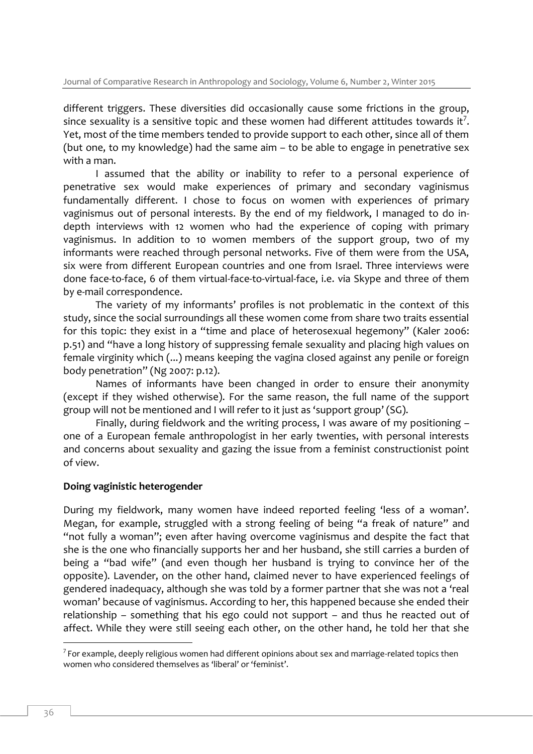different triggers. These diversities did occasionally cause some frictions in the group, since sexuality is a sensitive topic and these women had different attitudes towards it<sup>7</sup>. Yet, most of the time members tended to provide support to each other, since all of them (but one, to my knowledge) had the same aim – to be able to engage in penetrative sex with a man.

I assumed that the ability or inability to refer to a personal experience of penetrative sex would make experiences of primary and secondary vaginismus fundamentally different. I chose to focus on women with experiences of primary vaginismus out of personal interests. By the end of my fieldwork, I managed to do indepth interviews with 12 women who had the experience of coping with primary vaginismus. In addition to 10 women members of the support group, two of my informants were reached through personal networks. Five of them were from the USA, six were from different European countries and one from Israel. Three interviews were done face-to-face, 6 of them virtual-face-to-virtual-face, i.e. via Skype and three of them by e-mail correspondence.

The variety of my informants' profiles is not problematic in the context of this study, since the social surroundings all these women come from share two traits essential for this topic: they exist in a "time and place of heterosexual hegemony" (Kaler 2006: p.51) and "have a long history of suppressing female sexuality and placing high values on female virginity which (...) means keeping the vagina closed against any penile or foreign body penetration" (Ng 2007: p.12).

Names of informants have been changed in order to ensure their anonymity (except if they wished otherwise). For the same reason, the full name of the support group will not be mentioned and I will refer to it just as 'support group' (SG).

Finally, during fieldwork and the writing process, I was aware of my positioning – one of a European female anthropologist in her early twenties, with personal interests and concerns about sexuality and gazing the issue from a feminist constructionist point of view.

#### **Doing vaginistic heterogender**

During my fieldwork, many women have indeed reported feeling 'less of a woman'. Megan, for example, struggled with a strong feeling of being "a freak of nature" and "not fully a woman"; even after having overcome vaginismus and despite the fact that she is the one who financially supports her and her husband, she still carries a burden of being a "bad wife" (and even though her husband is trying to convince her of the opposite). Lavender, on the other hand, claimed never to have experienced feelings of gendered inadequacy, although she was told by a former partner that she was not a 'real woman' because of vaginismus. According to her, this happened because she ended their relationship – something that his ego could not support – and thus he reacted out of affect. While they were still seeing each other, on the other hand, he told her that she

 $\frac{7}{7}$  For example, deeply religious women had different opinions about sex and marriage-related topics then women who considered themselves as 'liberal' or 'feminist'.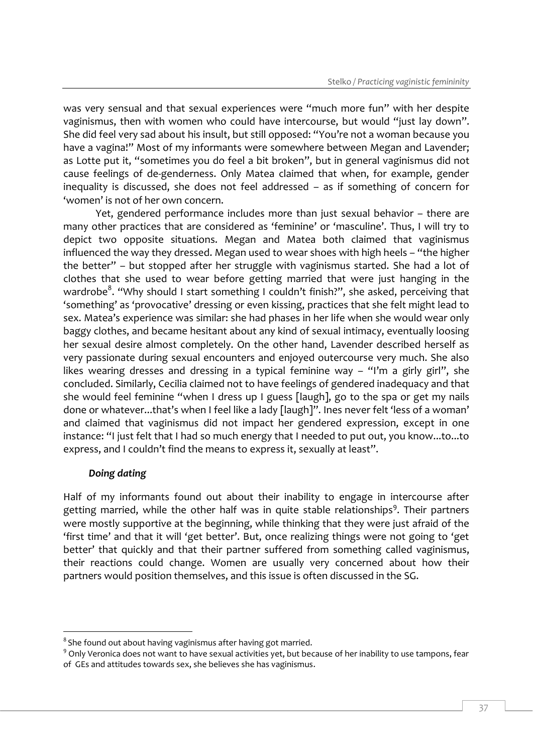was very sensual and that sexual experiences were "much more fun" with her despite vaginismus, then with women who could have intercourse, but would "just lay down". She did feel very sad about his insult, but still opposed: "You're not a woman because you have a vagina!" Most of my informants were somewhere between Megan and Lavender; as Lotte put it, "sometimes you do feel a bit broken", but in general vaginismus did not cause feelings of de-genderness. Only Matea claimed that when, for example, gender inequality is discussed, she does not feel addressed – as if something of concern for 'women' is not of her own concern.

Yet, gendered performance includes more than just sexual behavior – there are many other practices that are considered as 'feminine' or 'masculine'. Thus, I will try to depict two opposite situations. Megan and Matea both claimed that vaginismus influenced the way they dressed. Megan used to wear shoes with high heels – "the higher the better" – but stopped after her struggle with vaginismus started. She had a lot of clothes that she used to wear before getting married that were just hanging in the wardrobe<sup>8</sup>. "Why should I start something I couldn't finish?", she asked, perceiving that 'something' as 'provocative' dressing or even kissing, practices that she felt might lead to sex. Matea's experience was similar: she had phases in her life when she would wear only baggy clothes, and became hesitant about any kind of sexual intimacy, eventually loosing her sexual desire almost completely. On the other hand, Lavender described herself as very passionate during sexual encounters and enjoyed outercourse very much. She also likes wearing dresses and dressing in a typical feminine way – "I'm a girly girl", she concluded. Similarly, Cecilia claimed not to have feelings of gendered inadequacy and that she would feel feminine "when I dress up I guess [laugh], go to the spa or get my nails done or whatever...that's when I feel like a lady [laugh]". Ines never felt 'less of a woman' and claimed that vaginismus did not impact her gendered expression, except in one instance: "I just felt that I had so much energy that I needed to put out, you know...to...to express, and I couldn't find the means to express it, sexually at least".

#### *Doing dating*

-

Half of my informants found out about their inability to engage in intercourse after getting married, while the other half was in quite stable relationships<sup>9</sup>. Their partners were mostly supportive at the beginning, while thinking that they were just afraid of the 'first time' and that it will 'get better'. But, once realizing things were not going to 'get better' that quickly and that their partner suffered from something called vaginismus, their reactions could change. Women are usually very concerned about how their partners would position themselves, and this issue is often discussed in the SG.

 $^8$  She found out about having vaginismus after having got married.

<sup>&</sup>lt;sup>9</sup> Only Veronica does not want to have sexual activities yet, but because of her inability to use tampons, fear of GEs and attitudes towards sex, she believes she has vaginismus.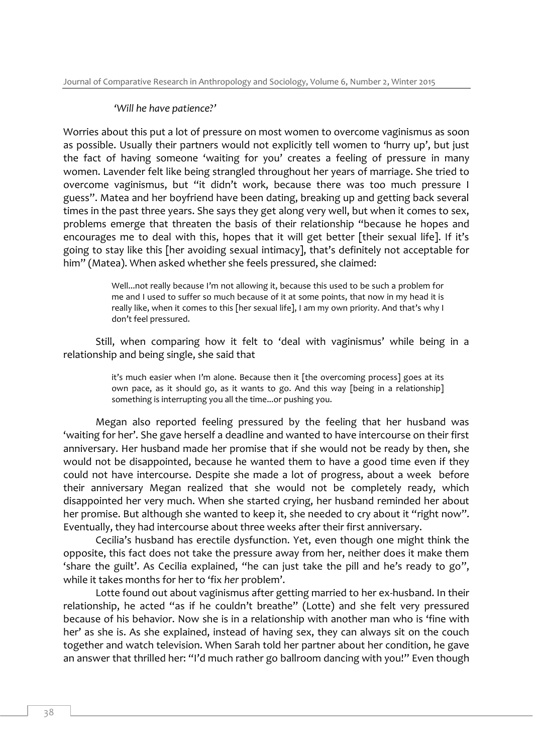#### *'Will he have patience?'*

Worries about this put a lot of pressure on most women to overcome vaginismus as soon as possible. Usually their partners would not explicitly tell women to 'hurry up', but just the fact of having someone 'waiting for you' creates a feeling of pressure in many women. Lavender felt like being strangled throughout her years of marriage. She tried to overcome vaginismus, but "it didn't work, because there was too much pressure I guess". Matea and her boyfriend have been dating, breaking up and getting back several times in the past three years. She says they get along very well, but when it comes to sex, problems emerge that threaten the basis of their relationship "because he hopes and encourages me to deal with this, hopes that it will get better [their sexual life]. If it's going to stay like this [her avoiding sexual intimacy], that's definitely not acceptable for him" (Matea). When asked whether she feels pressured, she claimed:

> Well...not really because I'm not allowing it, because this used to be such a problem for me and I used to suffer so much because of it at some points, that now in my head it is really like, when it comes to this [her sexual life], I am my own priority. And that's why I don't feel pressured.

Still, when comparing how it felt to 'deal with vaginismus' while being in a relationship and being single, she said that

> it's much easier when I'm alone. Because then it [the overcoming process] goes at its own pace, as it should go, as it wants to go. And this way [being in a relationship] something is interrupting you all the time...or pushing you.

Megan also reported feeling pressured by the feeling that her husband was 'waiting for her'. She gave herself a deadline and wanted to have intercourse on their first anniversary. Her husband made her promise that if she would not be ready by then, she would not be disappointed, because he wanted them to have a good time even if they could not have intercourse. Despite she made a lot of progress, about a week before their anniversary Megan realized that she would not be completely ready, which disappointed her very much. When she started crying, her husband reminded her about her promise. But although she wanted to keep it, she needed to cry about it "right now". Eventually, they had intercourse about three weeks after their first anniversary.

Cecilia's husband has erectile dysfunction. Yet, even though one might think the opposite, this fact does not take the pressure away from her, neither does it make them 'share the guilt'. As Cecilia explained, "he can just take the pill and he's ready to go", while it takes months for her to 'fix *her* problem'.

Lotte found out about vaginismus after getting married to her ex-husband. In their relationship, he acted "as if he couldn't breathe" (Lotte) and she felt very pressured because of his behavior. Now she is in a relationship with another man who is 'fine with her' as she is. As she explained, instead of having sex, they can always sit on the couch together and watch television. When Sarah told her partner about her condition, he gave an answer that thrilled her: "I'd much rather go ballroom dancing with you!" Even though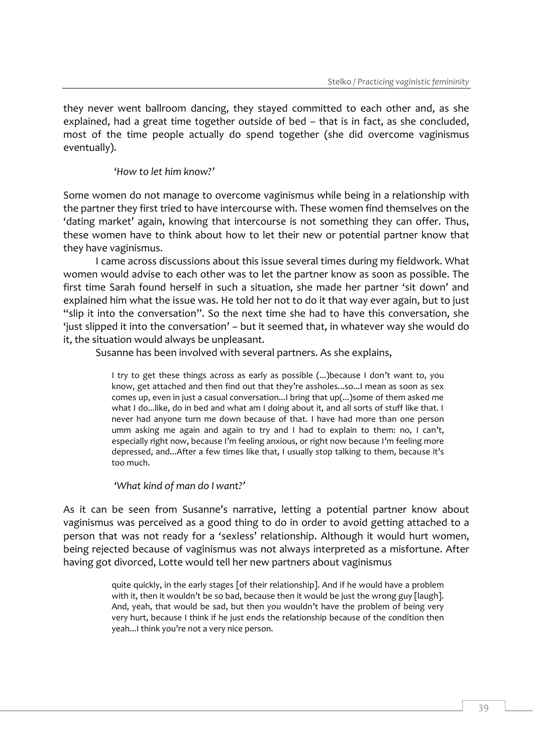they never went ballroom dancing, they stayed committed to each other and, as she explained, had a great time together outside of bed – that is in fact, as she concluded, most of the time people actually do spend together (she did overcome vaginismus eventually).

## *'How to let him know?'*

Some women do not manage to overcome vaginismus while being in a relationship with the partner they first tried to have intercourse with. These women find themselves on the 'dating market' again, knowing that intercourse is not something they can offer. Thus, these women have to think about how to let their new or potential partner know that they have vaginismus.

I came across discussions about this issue several times during my fieldwork. What women would advise to each other was to let the partner know as soon as possible. The first time Sarah found herself in such a situation, she made her partner 'sit down' and explained him what the issue was. He told her not to do it that way ever again, but to just "slip it into the conversation". So the next time she had to have this conversation, she 'just slipped it into the conversation' – but it seemed that, in whatever way she would do it, the situation would always be unpleasant.

Susanne has been involved with several partners. As she explains,

I try to get these things across as early as possible (...)because I don't want to, you know, get attached and then find out that they're assholes...so...I mean as soon as sex comes up, even in just a casual conversation...I bring that up(...)some of them asked me what I do...like, do in bed and what am I doing about it, and all sorts of stuff like that. I never had anyone turn me down because of that. I have had more than one person umm asking me again and again to try and I had to explain to them: no, I can't, especially right now, because I'm feeling anxious, or right now because I'm feeling more depressed, and...After a few times like that, I usually stop talking to them, because it's too much.

#### *'What kind of man do I want?'*

As it can be seen from Susanne's narrative, letting a potential partner know about vaginismus was perceived as a good thing to do in order to avoid getting attached to a person that was not ready for a 'sexless' relationship. Although it would hurt women, being rejected because of vaginismus was not always interpreted as a misfortune. After having got divorced, Lotte would tell her new partners about vaginismus

> quite quickly, in the early stages [of their relationship]. And if he would have a problem with it, then it wouldn't be so bad, because then it would be just the wrong guy [laugh]. And, yeah, that would be sad, but then you wouldn't have the problem of being very very hurt, because I think if he just ends the relationship because of the condition then yeah...I think you're not a very nice person.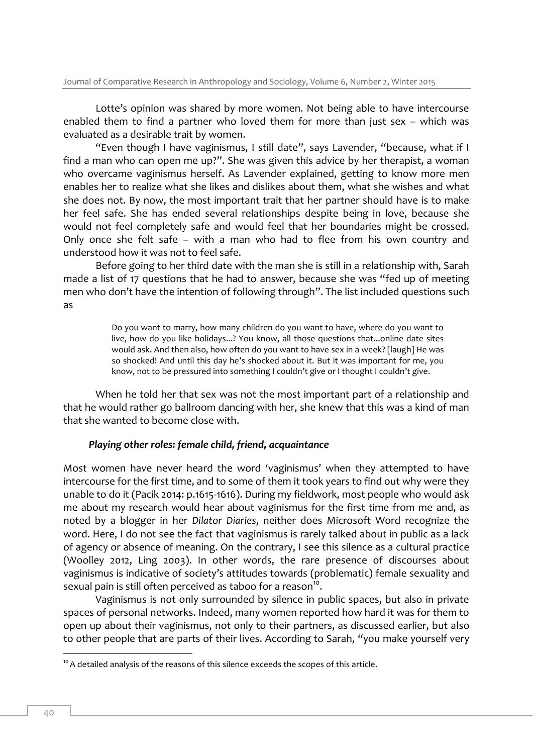Lotte's opinion was shared by more women. Not being able to have intercourse enabled them to find a partner who loved them for more than just sex – which was evaluated as a desirable trait by women.

"Even though I have vaginismus, I still date", says Lavender, "because, what if I find a man who can open me up?". She was given this advice by her therapist, a woman who overcame vaginismus herself. As Lavender explained, getting to know more men enables her to realize what she likes and dislikes about them, what she wishes and what she does not. By now, the most important trait that her partner should have is to make her feel safe. She has ended several relationships despite being in love, because she would not feel completely safe and would feel that her boundaries might be crossed. Only once she felt safe – with a man who had to flee from his own country and understood how it was not to feel safe.

Before going to her third date with the man she is still in a relationship with, Sarah made a list of 17 questions that he had to answer, because she was "fed up of meeting men who don't have the intention of following through". The list included questions such as

> Do you want to marry, how many children do you want to have, where do you want to live, how do you like holidays...? You know, all those questions that...online date sites would ask. And then also, how often do you want to have sex in a week? [laugh] He was so shocked! And until this day he's shocked about it. But it was important for me, you know, not to be pressured into something I couldn't give or I thought I couldn't give.

When he told her that sex was not the most important part of a relationship and that he would rather go ballroom dancing with her, she knew that this was a kind of man that she wanted to become close with.

#### *Playing other roles: female child, friend, acquaintance*

Most women have never heard the word 'vaginismus' when they attempted to have intercourse for the first time, and to some of them it took years to find out why were they unable to do it (Pacik 2014: p.1615-1616). During my fieldwork, most people who would ask me about my research would hear about vaginismus for the first time from me and, as noted by a blogger in her *Dilator Diaries*, neither does Microsoft Word recognize the word. Here, I do not see the fact that vaginismus is rarely talked about in public as a lack of agency or absence of meaning. On the contrary, I see this silence as a cultural practice (Woolley 2012, Ling 2003). In other words, the rare presence of discourses about vaginismus is indicative of society's attitudes towards (problematic) female sexuality and sexual pain is still often perceived as taboo for a reason $^{10}$ .

Vaginismus is not only surrounded by silence in public spaces, but also in private spaces of personal networks. Indeed, many women reported how hard it was for them to open up about their vaginismus, not only to their partners, as discussed earlier, but also to other people that are parts of their lives. According to Sarah, "you make yourself very

 $10<sup>10</sup>$  A detailed analysis of the reasons of this silence exceeds the scopes of this article.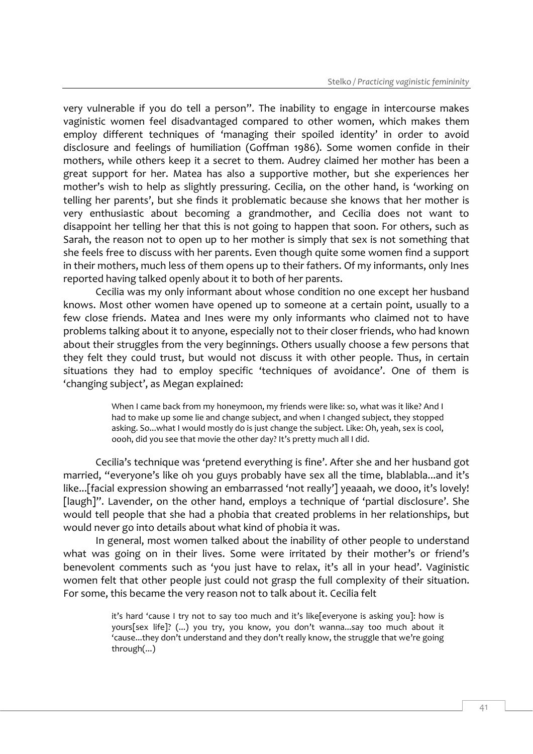very vulnerable if you do tell a person". The inability to engage in intercourse makes vaginistic women feel disadvantaged compared to other women, which makes them employ different techniques of 'managing their spoiled identity' in order to avoid disclosure and feelings of humiliation (Goffman 1986). Some women confide in their mothers, while others keep it a secret to them. Audrey claimed her mother has been a great support for her. Matea has also a supportive mother, but she experiences her mother's wish to help as slightly pressuring. Cecilia, on the other hand, is 'working on telling her parents', but she finds it problematic because she knows that her mother is very enthusiastic about becoming a grandmother, and Cecilia does not want to disappoint her telling her that this is not going to happen that soon. For others, such as Sarah, the reason not to open up to her mother is simply that sex is not something that she feels free to discuss with her parents. Even though quite some women find a support in their mothers, much less of them opens up to their fathers. Of my informants, only Ines reported having talked openly about it to both of her parents.

Cecilia was my only informant about whose condition no one except her husband knows. Most other women have opened up to someone at a certain point, usually to a few close friends. Matea and Ines were my only informants who claimed not to have problems talking about it to anyone, especially not to their closer friends, who had known about their struggles from the very beginnings. Others usually choose a few persons that they felt they could trust, but would not discuss it with other people. Thus, in certain situations they had to employ specific 'techniques of avoidance'. One of them is 'changing subject', as Megan explained:

> When I came back from my honeymoon, my friends were like: so, what was it like? And I had to make up some lie and change subject, and when I changed subject, they stopped asking. So...what I would mostly do is just change the subject. Like: Oh, yeah, sex is cool, oooh, did you see that movie the other day? It's pretty much all I did.

Cecilia's technique was 'pretend everything is fine'. After she and her husband got married, "everyone's like oh you guys probably have sex all the time, blablabla...and it's like...[facial expression showing an embarrassed 'not really'] yeaaah, we dooo, it's lovely! [laugh]". Lavender, on the other hand, employs a technique of 'partial disclosure'. She would tell people that she had a phobia that created problems in her relationships, but would never go into details about what kind of phobia it was.

In general, most women talked about the inability of other people to understand what was going on in their lives. Some were irritated by their mother's or friend's benevolent comments such as 'you just have to relax, it's all in your head'. Vaginistic women felt that other people just could not grasp the full complexity of their situation. For some, this became the very reason not to talk about it. Cecilia felt

> it's hard 'cause I try not to say too much and it's like[everyone is asking you]: how is yours[sex life]? (...) you try, you know, you don't wanna...say too much about it 'cause...they don't understand and they don't really know, the struggle that we're going through(...)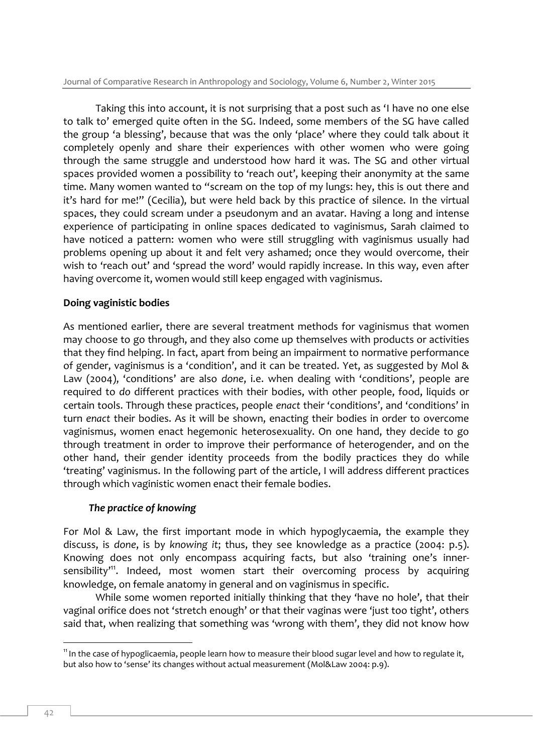Journal of Comparative Research in Anthropology and Sociology, Volume 6, Number 2, Winter 2015

Taking this into account, it is not surprising that a post such as 'I have no one else to talk to' emerged quite often in the SG. Indeed, some members of the SG have called the group 'a blessing', because that was the only 'place' where they could talk about it completely openly and share their experiences with other women who were going through the same struggle and understood how hard it was. The SG and other virtual spaces provided women a possibility to 'reach out', keeping their anonymity at the same time. Many women wanted to "scream on the top of my lungs: hey, this is out there and it's hard for me!" (Cecilia), but were held back by this practice of silence. In the virtual spaces, they could scream under a pseudonym and an avatar. Having a long and intense experience of participating in online spaces dedicated to vaginismus, Sarah claimed to have noticed a pattern: women who were still struggling with vaginismus usually had problems opening up about it and felt very ashamed; once they would overcome, their wish to 'reach out' and 'spread the word' would rapidly increase. In this way, even after having overcome it, women would still keep engaged with vaginismus.

# **Doing vaginistic bodies**

As mentioned earlier, there are several treatment methods for vaginismus that women may choose to go through, and they also come up themselves with products or activities that they find helping. In fact, apart from being an impairment to normative performance of gender, vaginismus is a 'condition', and it can be treated. Yet, as suggested by Mol & Law (2004), 'conditions' are also *done*, i.e. when dealing with 'conditions', people are required to *do* different practices with their bodies, with other people, food, liquids or certain tools. Through these practices, people *enact* their 'conditions', and 'conditions' in turn *enact* their bodies. As it will be shown, enacting their bodies in order to overcome vaginismus, women enact hegemonic heterosexuality. On one hand, they decide to go through treatment in order to improve their performance of heterogender, and on the other hand, their gender identity proceeds from the bodily practices they do while 'treating' vaginismus. In the following part of the article, I will address different practices through which vaginistic women enact their female bodies.

# *The practice of knowing*

For Mol & Law, the first important mode in which hypoglycaemia, the example they discuss, is *done*, is by *knowing it*; thus, they see knowledge as a practice (2004: p.5). Knowing does not only encompass acquiring facts, but also 'training one's innersensibility<sup>,11</sup>. Indeed, most women start their overcoming process by acquiring knowledge, on female anatomy in general and on vaginismus in specific.

While some women reported initially thinking that they 'have no hole', that their vaginal orifice does not 'stretch enough' or that their vaginas were 'just too tight', others said that, when realizing that something was 'wrong with them', they did not know how

<sup>-</sup><sup>11</sup> In the case of hypoglicaemia, people learn how to measure their blood sugar level and how to regulate it, but also how to 'sense' its changes without actual measurement (Mol&Law 2004: p.9).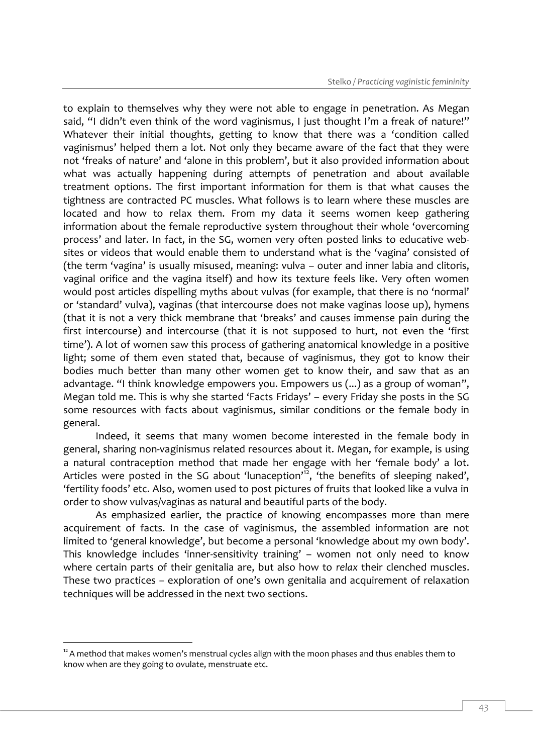to explain to themselves why they were not able to engage in penetration. As Megan said, "I didn't even think of the word vaginismus, I just thought I'm a freak of nature!" Whatever their initial thoughts, getting to know that there was a 'condition called vaginismus' helped them a lot. Not only they became aware of the fact that they were not 'freaks of nature' and 'alone in this problem', but it also provided information about what was actually happening during attempts of penetration and about available treatment options. The first important information for them is that what causes the tightness are contracted PC muscles. What follows is to learn where these muscles are located and how to relax them. From my data it seems women keep gathering information about the female reproductive system throughout their whole 'overcoming process' and later. In fact, in the SG, women very often posted links to educative websites or videos that would enable them to understand what is the 'vagina' consisted of (the term 'vagina' is usually misused, meaning: vulva – outer and inner labia and clitoris, vaginal orifice and the vagina itself) and how its texture feels like. Very often women would post articles dispelling myths about vulvas (for example, that there is no 'normal' or 'standard' vulva), vaginas (that intercourse does not make vaginas loose up), hymens (that it is not a very thick membrane that 'breaks' and causes immense pain during the first intercourse) and intercourse (that it is not supposed to hurt, not even the 'first time'). A lot of women saw this process of gathering anatomical knowledge in a positive light; some of them even stated that, because of vaginismus, they got to know their bodies much better than many other women get to know their, and saw that as an advantage. "I think knowledge empowers you. Empowers us (...) as a group of woman", Megan told me. This is why she started 'Facts Fridays' – every Friday she posts in the SG some resources with facts about vaginismus, similar conditions or the female body in general.

Indeed, it seems that many women become interested in the female body in general, sharing non-vaginismus related resources about it. Megan, for example, is using a natural contraception method that made her engage with her 'female body' a lot. Articles were posted in the SG about 'lunaception'<sup>12</sup>, 'the benefits of sleeping naked', 'fertility foods' etc. Also, women used to post pictures of fruits that looked like a vulva in order to show vulvas/vaginas as natural and beautiful parts of the body.

As emphasized earlier, the practice of knowing encompasses more than mere acquirement of facts. In the case of vaginismus, the assembled information are not limited to 'general knowledge', but become a personal 'knowledge about my own body'. This knowledge includes 'inner-sensitivity training' – women not only need to know where certain parts of their genitalia are, but also how to *relax* their clenched muscles. These two practices – exploration of one's own genitalia and acquirement of relaxation techniques will be addressed in the next two sections.

 $12A$  method that makes women's menstrual cycles align with the moon phases and thus enables them to know when are they going to ovulate, menstruate etc.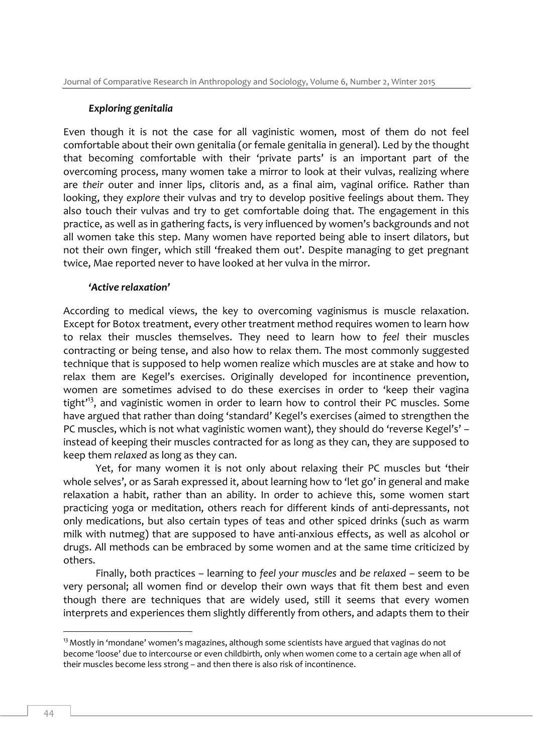#### *Exploring genitalia*

Even though it is not the case for all vaginistic women, most of them do not feel comfortable about their own genitalia (or female genitalia in general). Led by the thought that becoming comfortable with their 'private parts' is an important part of the overcoming process, many women take a mirror to look at their vulvas, realizing where are *their* outer and inner lips, clitoris and, as a final aim, vaginal orifice. Rather than looking, they *explore* their vulvas and try to develop positive feelings about them. They also touch their vulvas and try to get comfortable doing that. The engagement in this practice, as well as in gathering facts, is very influenced by women's backgrounds and not all women take this step. Many women have reported being able to insert dilators, but not their own finger, which still 'freaked them out'. Despite managing to get pregnant twice, Mae reported never to have looked at her vulva in the mirror.

#### *'Active relaxation'*

According to medical views, the key to overcoming vaginismus is muscle relaxation. Except for Botox treatment, every other treatment method requires women to learn how to relax their muscles themselves. They need to learn how to *feel* their muscles contracting or being tense, and also how to relax them. The most commonly suggested technique that is supposed to help women realize which muscles are at stake and how to relax them are Kegel's exercises. Originally developed for incontinence prevention, women are sometimes advised to do these exercises in order to 'keep their vagina tight<sup>13</sup>, and vaginistic women in order to learn how to control their PC muscles. Some have argued that rather than doing 'standard' Kegel's exercises (aimed to strengthen the PC muscles, which is not what vaginistic women want), they should do 'reverse Kegel's' – instead of keeping their muscles contracted for as long as they can, they are supposed to keep them *relaxed* as long as they can.

Yet, for many women it is not only about relaxing their PC muscles but 'their whole selves', or as Sarah expressed it, about learning how to 'let go' in general and make relaxation a habit, rather than an ability. In order to achieve this, some women start practicing yoga or meditation, others reach for different kinds of anti-depressants, not only medications, but also certain types of teas and other spiced drinks (such as warm milk with nutmeg) that are supposed to have anti-anxious effects, as well as alcohol or drugs. All methods can be embraced by some women and at the same time criticized by others.

Finally, both practices – learning to *feel your muscles* and *be relaxed* – seem to be very personal; all women find or develop their own ways that fit them best and even though there are techniques that are widely used, still it seems that every women interprets and experiences them slightly differently from others, and adapts them to their

 $13$  Mostly in 'mondane' women's magazines, although some scientists have argued that vaginas do not become 'loose' due to intercourse or even childbirth, only when women come to a certain age when all of their muscles become less strong – and then there is also risk of incontinence.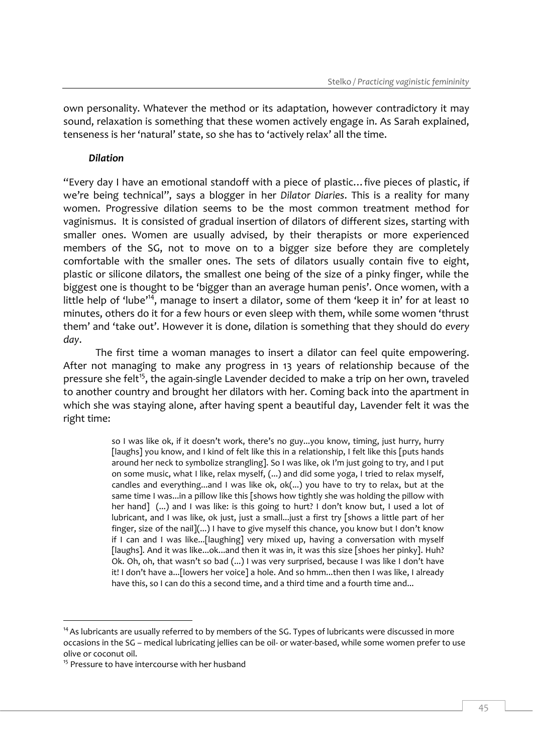own personality. Whatever the method or its adaptation, however contradictory it may sound, relaxation is something that these women actively engage in. As Sarah explained, tenseness is her 'natural' state, so she has to 'actively relax' all the time.

## *Dilation*

"Every day I have an emotional standoff with a piece of plastic…five pieces of plastic, if we're being technical", says a blogger in her *Dilator Diaries*. This is a reality for many women. Progressive dilation seems to be the most common treatment method for vaginismus. It is consisted of gradual insertion of dilators of different sizes, starting with smaller ones. Women are usually advised, by their therapists or more experienced members of the SG, not to move on to a bigger size before they are completely comfortable with the smaller ones. The sets of dilators usually contain five to eight, plastic or silicone dilators, the smallest one being of the size of a pinky finger, while the biggest one is thought to be 'bigger than an average human penis'. Once women, with a little help of 'lube'<sup>14</sup>, manage to insert a dilator, some of them 'keep it in' for at least 10 minutes, others do it for a few hours or even sleep with them, while some women 'thrust them' and 'take out'. However it is done, dilation is something that they should do *every day*.

The first time a woman manages to insert a dilator can feel quite empowering. After not managing to make any progress in 13 years of relationship because of the pressure she felt<sup>15</sup>, the again-single Lavender decided to make a trip on her own, traveled to another country and brought her dilators with her. Coming back into the apartment in which she was staying alone, after having spent a beautiful day, Lavender felt it was the right time:

> so I was like ok, if it doesn't work, there's no guy...you know, timing, just hurry, hurry [laughs] you know, and I kind of felt like this in a relationship, I felt like this [puts hands around her neck to symbolize strangling]. So I was like, ok I'm just going to try, and I put on some music, what I like, relax myself, (...) and did some yoga, I tried to relax myself, candles and everything...and I was like ok, ok(...) you have to try to relax, but at the same time I was...in a pillow like this [shows how tightly she was holding the pillow with her hand] (...) and I was like: is this going to hurt? I don't know but, I used a lot of lubricant, and I was like, ok just, just a small...just a first try [shows a little part of her finger, size of the nail](...) I have to give myself this chance, you know but I don't know if I can and I was like...[laughing] very mixed up, having a conversation with myself [laughs]. And it was like...ok...and then it was in, it was this size [shoes her pinky]. Huh? Ok. Oh, oh, that wasn't so bad (...) I was very surprised, because I was like I don't have it! I don't have a...[lowers her voice] a hole. And so hmm...then then I was like, I already have this, so I can do this a second time, and a third time and a fourth time and...

 $14$  As lubricants are usually referred to by members of the SG. Types of lubricants were discussed in more occasions in the SG – medical lubricating jellies can be oil- or water-based, while some women prefer to use olive or coconut oil.

<sup>&</sup>lt;sup>15</sup> Pressure to have intercourse with her husband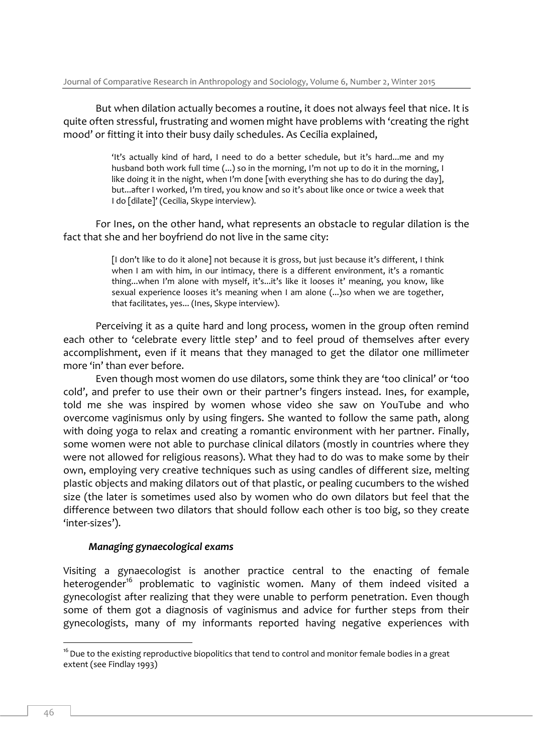But when dilation actually becomes a routine, it does not always feel that nice. It is quite often stressful, frustrating and women might have problems with 'creating the right mood' or fitting it into their busy daily schedules. As Cecilia explained,

> 'It's actually kind of hard, I need to do a better schedule, but it's hard...me and my husband both work full time (...) so in the morning, I'm not up to do it in the morning, I like doing it in the night, when I'm done [with everything she has to do during the day], but...after I worked, I'm tired, you know and so it's about like once or twice a week that I do [dilate]' (Cecilia, Skype interview).

For Ines, on the other hand, what represents an obstacle to regular dilation is the fact that she and her boyfriend do not live in the same city:

> [I don't like to do it alone] not because it is gross, but just because it's different, I think when I am with him, in our intimacy, there is a different environment, it's a romantic thing...when I'm alone with myself, it's...it's like it looses it' meaning, you know, like sexual experience looses it's meaning when I am alone (...)so when we are together, that facilitates, yes... (Ines, Skype interview).

Perceiving it as a quite hard and long process, women in the group often remind each other to 'celebrate every little step' and to feel proud of themselves after every accomplishment, even if it means that they managed to get the dilator one millimeter more 'in' than ever before.

Even though most women do use dilators, some think they are 'too clinical' or 'too cold', and prefer to use their own or their partner's fingers instead. Ines, for example, told me she was inspired by women whose video she saw on YouTube and who overcome vaginismus only by using fingers. She wanted to follow the same path, along with doing yoga to relax and creating a romantic environment with her partner. Finally, some women were not able to purchase clinical dilators (mostly in countries where they were not allowed for religious reasons). What they had to do was to make some by their own, employing very creative techniques such as using candles of different size, melting plastic objects and making dilators out of that plastic, or pealing cucumbers to the wished size (the later is sometimes used also by women who do own dilators but feel that the difference between two dilators that should follow each other is too big, so they create 'inter-sizes').

#### *Managing gynaecological exams*

Visiting a gynaecologist is another practice central to the enacting of female heterogender<sup>16</sup> problematic to vaginistic women. Many of them indeed visited a gynecologist after realizing that they were unable to perform penetration. Even though some of them got a diagnosis of vaginismus and advice for further steps from their gynecologists, many of my informants reported having negative experiences with

<sup>&</sup>lt;sup>16</sup> Due to the existing reproductive biopolitics that tend to control and monitor female bodies in a great extent (see Findlay 1993)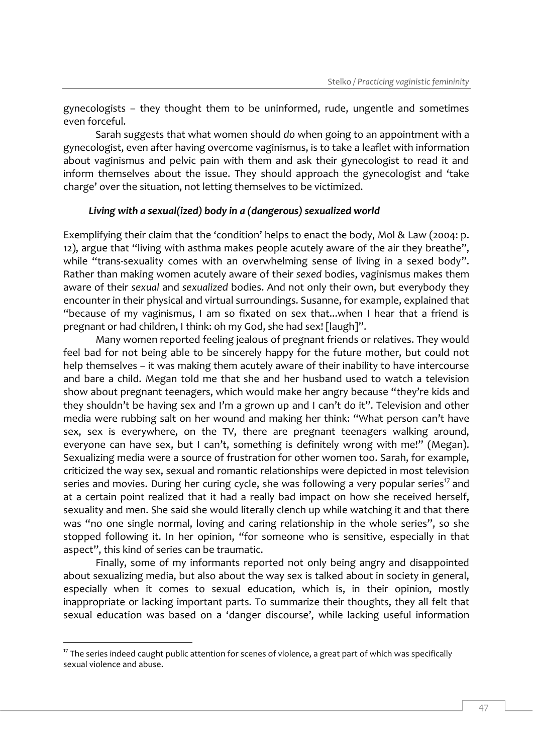gynecologists – they thought them to be uninformed, rude, ungentle and sometimes even forceful.

Sarah suggests that what women should *do* when going to an appointment with a gynecologist, even after having overcome vaginismus, is to take a leaflet with information about vaginismus and pelvic pain with them and ask their gynecologist to read it and inform themselves about the issue. They should approach the gynecologist and 'take charge' over the situation, not letting themselves to be victimized.

#### *Living with a sexual(ized) body in a (dangerous) sexualized world*

Exemplifying their claim that the 'condition' helps to enact the body, Mol & Law (2004: p. 12), argue that "living with asthma makes people acutely aware of the air they breathe", while "trans-sexuality comes with an overwhelming sense of living in a sexed body". Rather than making women acutely aware of their *sexed* bodies, vaginismus makes them aware of their *sexual* and *sexualized* bodies. And not only their own, but everybody they encounter in their physical and virtual surroundings. Susanne, for example, explained that "because of my vaginismus, I am so fixated on sex that...when I hear that a friend is pregnant or had children, I think: oh my God, she had sex! [laugh]".

Many women reported feeling jealous of pregnant friends or relatives. They would feel bad for not being able to be sincerely happy for the future mother, but could not help themselves – it was making them acutely aware of their inability to have intercourse and bare a child. Megan told me that she and her husband used to watch a television show about pregnant teenagers, which would make her angry because "they're kids and they shouldn't be having sex and I'm a grown up and I can't do it". Television and other media were rubbing salt on her wound and making her think: "What person can't have sex, sex is everywhere, on the TV, there are pregnant teenagers walking around, everyone can have sex, but I can't, something is definitely wrong with me!" (Megan). Sexualizing media were a source of frustration for other women too. Sarah, for example, criticized the way sex, sexual and romantic relationships were depicted in most television series and movies. During her curing cycle, she was following a very popular series<sup>17</sup> and at a certain point realized that it had a really bad impact on how she received herself, sexuality and men. She said she would literally clench up while watching it and that there was "no one single normal, loving and caring relationship in the whole series", so she stopped following it. In her opinion, "for someone who is sensitive, especially in that aspect", this kind of series can be traumatic.

Finally, some of my informants reported not only being angry and disappointed about sexualizing media, but also about the way sex is talked about in society in general, especially when it comes to sexual education, which is, in their opinion, mostly inappropriate or lacking important parts. To summarize their thoughts, they all felt that sexual education was based on a 'danger discourse', while lacking useful information

 $17$  The series indeed caught public attention for scenes of violence, a great part of which was specifically sexual violence and abuse.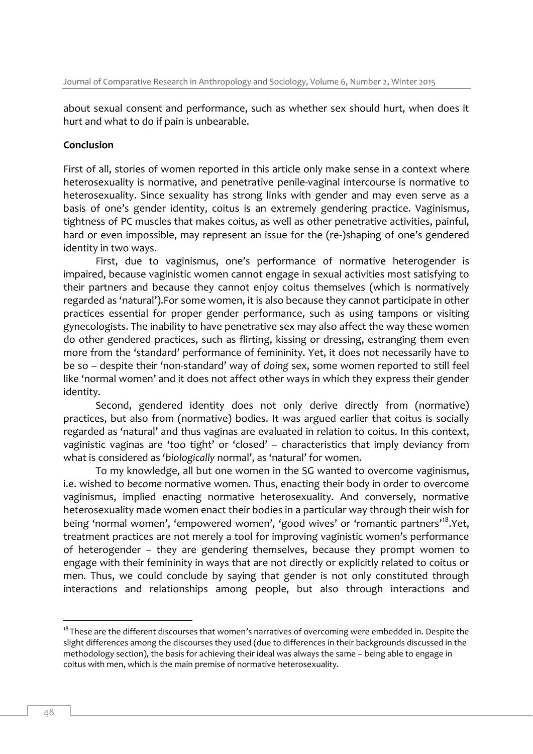about sexual consent and performance, such as whether sex should hurt, when does it hurt and what to do if pain is unbearable.

#### **Conclusion**

First of all, stories of women reported in this article only make sense in a context where heterosexuality is normative, and penetrative penile-vaginal intercourse is normative to heterosexuality. Since sexuality has strong links with gender and may even serve as a basis of one's gender identity, coitus is an extremely gendering practice. Vaginismus, tightness of PC muscles that makes coitus, as well as other penetrative activities, painful, hard or even impossible, may represent an issue for the (re-)shaping of one's gendered identity in two ways.

First, due to vaginismus, one's performance of normative heterogender is impaired, because vaginistic women cannot engage in sexual activities most satisfying to their partners and because they cannot enjoy coitus themselves (which is normatively regarded as 'natural').For some women, it is also because they cannot participate in other practices essential for proper gender performance, such as using tampons or visiting gynecologists. The inability to have penetrative sex may also affect the way these women do other gendered practices, such as flirting, kissing or dressing, estranging them even more from the 'standard' performance of femininity. Yet, it does not necessarily have to be so – despite their 'non-standard' way of *doing* sex, some women reported to still feel like 'normal women' and it does not affect other ways in which they express their gender identity.

Second, gendered identity does not only derive directly from (normative) practices, but also from (normative) bodies. It was argued earlier that coitus is socially regarded as 'natural' and thus vaginas are evaluated in relation to coitus. In this context, vaginistic vaginas are 'too tight' or 'closed' – characteristics that imply deviancy from what is considered as '*biologically* normal', as 'natural' for women.

To my knowledge, all but one women in the SG wanted to overcome vaginismus, i.e. wished to *become* normative women. Thus, enacting their body in order to overcome vaginismus, implied enacting normative heterosexuality. And conversely, normative heterosexuality made women enact their bodies in a particular way through their wish for being 'normal women', 'empowered women', 'good wives' or 'romantic partners'<sup>18</sup>.Yet, treatment practices are not merely a tool for improving vaginistic women's performance of heterogender – they are gendering themselves, because they prompt women to engage with their femininity in ways that are not directly or explicitly related to coitus or men. Thus, we could conclude by saying that gender is not only constituted through interactions and relationships among people, but also through interactions and

<sup>&</sup>lt;sup>18</sup> These are the different discourses that women's narratives of overcoming were embedded in. Despite the slight differences among the discourses they used (due to differences in their backgrounds discussed in the methodology section), the basis for achieving their ideal was always the same – being able to engage in coitus with men, which is the main premise of normative heterosexuality.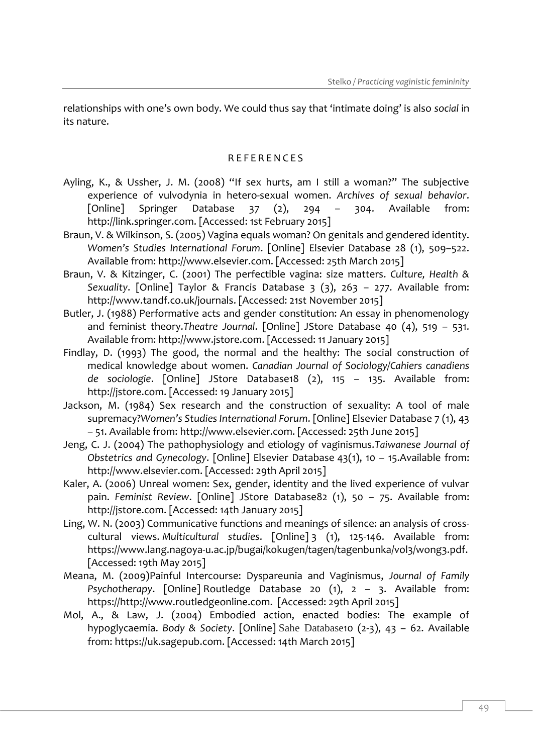relationships with one's own body. We could thus say that 'intimate doing' is also *social* in its nature.

#### R E F E R E N C E S

- Ayling, K., & Ussher, J. M. (2008) "If sex hurts, am I still a woman?" The subjective experience of vulvodynia in hetero-sexual women. *Archives of sexual behavior*. [Online] Springer Database 37 (2), 294 – 304. Available from: http://link.springer.com. [Accessed: 1st February 2015]
- Braun, V. & Wilkinson, S. (2005) Vagina equals woman? On genitals and gendered identity. *Women's Studies International Forum*. [Online] Elsevier Database 28 (1), 509–522. Available from: http://www.elsevier.com. [Accessed: 25th March 2015]
- Braun, V. & Kitzinger, C. (2001) The perfectible vagina: size matters. *Culture, Health & Sexuality*. [Online] Taylor & Francis Database 3 (3), 263 – 277. Available from: http://www.tandf.co.uk/journals. [Accessed: 21st November 2015]
- Butler, J. (1988) Performative acts and gender constitution: An essay in phenomenology and feminist theory.*Theatre Journal*. [Online] JStore Database 40 (4), 519 – 531. Available from: http://www.jstore.com. [Accessed: 11 January 2015]
- Findlay, D. (1993) The good, the normal and the healthy: The social construction of medical knowledge about women. *Canadian Journal of Sociology/Cahiers canadiens de sociologie*. [Online] JStore Database18 (2), 115 – 135. Available from: http://jstore.com. [Accessed: 19 January 2015]
- Jackson, M. (1984) Sex research and the construction of sexuality: A tool of male supremacy?*Women's Studies International Forum*. [Online] Elsevier Database 7 (1), 43 – 51. Available from: http://www.elsevier.com. [Accessed: 25th June 2015]
- Jeng, C. J. (2004) The pathophysiology and etiology of vaginismus.*Taiwanese Journal of Obstetrics and Gynecology*. [Online] Elsevier Database 43(1), 10 – 15.Available from: http://www.elsevier.com. [Accessed: 29th April 2015]
- Kaler, A. (2006) Unreal women: Sex, gender, identity and the lived experience of vulvar pain. *Feminist Review*. [Online] JStore Database82 (1), 50 – 75. Available from: http://jstore.com. [Accessed: 14th January 2015]
- Ling, W. N. (2003) Communicative functions and meanings of silence: an analysis of crosscultural views. *Multicultural studies*. [Online] 3 (1), 125-146. Available from: https://www.lang.nagoya-u.ac.jp/bugai/kokugen/tagen/tagenbunka/vol3/wong3.pdf. [Accessed: 19th May 2015]
- Meana, M. (2009)Painful Intercourse: Dyspareunia and Vaginismus, *Journal of Family Psychotherapy*. [Online] Routledge Database 20 (1), 2 – 3. Available from: https://http://www.routledgeonline.com. [Accessed: 29th April 2015]
- Mol, A., & Law, J. (2004) Embodied action, enacted bodies: The example of hypoglycaemia. *Body & Society*. [Online] Sahe Database10 (2-3), 43 – 62. Available from: https://uk.sagepub.com. [Accessed: 14th March 2015]